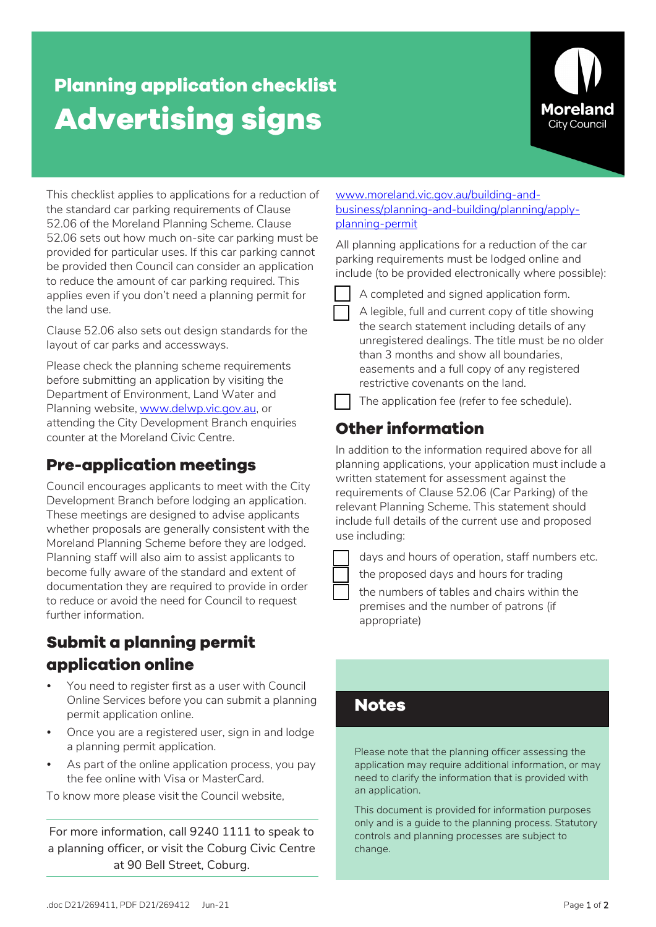# **Planning application checklist Advertising signs**



This checklist applies to applications for a reduction of the standard car parking requirements of Clause 52.06 of the Moreland Planning Scheme. Clause 52.06 sets out how much on-site car parking must be provided for particular uses. If this car parking cannot be provided then Council can consider an application to reduce the amount of car parking required. This applies even if you don't need a planning permit for the land use.

Clause 52.06 also sets out design standards for the layout of car parks and accessways.

Please check the planning scheme requirements before submitting an application by visiting the Department of Environment, Land Water and Planning website, www.delwp.vic.gov.au, or attending the City Development Branch enquiries counter at the Moreland Civic Centre.

### **Pre-application meetings**

Council encourages applicants to meet with the City Development Branch before lodging an application. These meetings are designed to advise applicants whether proposals are generally consistent with the Moreland Planning Scheme before they are lodged. Planning staff will also aim to assist applicants to become fully aware of the standard and extent of documentation they are required to provide in order to reduce or avoid the need for Council to request further information.

### **Submit a planning permit application online**

- You need to register first as a user with Council Online Services before you can submit a planning permit application online.
- Once you are a registered user, sign in and lodge a planning permit application.
- As part of the online application process, you pay the fee online with Visa or MasterCard.

To know more please visit the Council website,

For more information, call 9240 1111 to speak to a planning officer, or visit the Coburg Civic Centre at 90 Bell Street, Coburg.

#### [www.moreland.vic.gov.au/building-and](https://www.moreland.vic.gov.au/building-and-business/planning-and-building/planning/apply-planning-permit/)[business/planning-and-building/planning/apply](https://www.moreland.vic.gov.au/building-and-business/planning-and-building/planning/apply-planning-permit/)[planning-permit](https://www.moreland.vic.gov.au/building-and-business/planning-and-building/planning/apply-planning-permit/)

All planning applications for a reduction of the car parking requirements must be lodged online and include (to be provided electronically where possible):



A completed and signed application form.

 A legible, full and current copy of title showing the search statement including details of any unregistered dealings. The title must be no older than 3 months and show all boundaries, easements and a full copy of any registered restrictive covenants on the land.



The application fee (refer to fee schedule).

## **Other information**

In addition to the information required above for all planning applications, your application must include a written statement for assessment against the requirements of Clause 52.06 (Car Parking) of the relevant Planning Scheme. This statement should include full details of the current use and proposed use including:

lays and hours of operation, staff numbers etc.

the proposed days and hours for trading

 the numbers of tables and chairs within the premises and the number of patrons (if appropriate)

### **Notes**

Please note that the planning officer assessing the application may require additional information, or may need to clarify the information that is provided with an application.

This document is provided for information purposes only and is a guide to the planning process. Statutory controls and planning processes are subject to change.